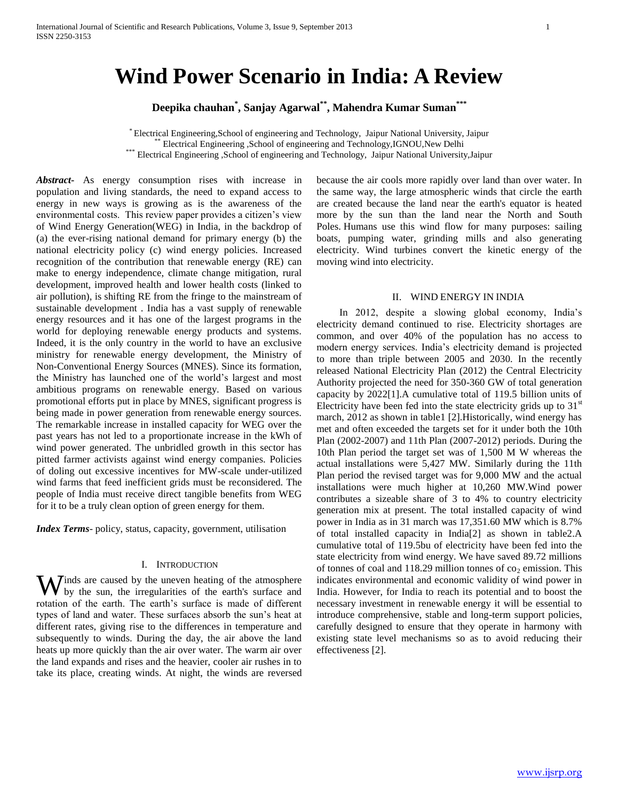# **Wind Power Scenario in India: A Review**

**Deepika chauhan\* , Sanjay Agarwal\*\* , Mahendra Kumar Suman\*\*\***

\* Electrical Engineering,School of engineering and Technology, Jaipur National University, Jaipur \*\* Electrical Engineering ,School of engineering and Technology,IGNOU,New Delhi \*\*\* Electrical Engineering ,School of engineering and Technology, Jaipur National University,Jaipur

*Abstract***-** As energy consumption rises with increase in population and living standards, the need to expand access to energy in new ways is growing as is the awareness of the environmental costs. This review paper provides a citizen's view of Wind Energy Generation(WEG) in India, in the backdrop of (a) the ever-rising national demand for primary energy (b) the national electricity policy (c) wind energy policies. Increased recognition of the contribution that renewable energy (RE) can make to energy independence, climate change mitigation, rural development, improved health and lower health costs (linked to air pollution), is shifting RE from the fringe to the mainstream of sustainable development . India has a vast supply of renewable energy resources and it has one of the largest programs in the world for deploying renewable energy products and systems. Indeed, it is the only country in the world to have an exclusive ministry for renewable energy development, the Ministry of Non-Conventional Energy Sources (MNES). Since its formation, the Ministry has launched one of the world's largest and most ambitious programs on renewable energy. Based on various promotional efforts put in place by MNES, significant progress is being made in power generation from renewable energy sources. The remarkable increase in installed capacity for WEG over the past years has not led to a proportionate increase in the kWh of wind power generated. The unbridled growth in this sector has pitted farmer activists against wind energy companies. Policies of doling out excessive incentives for MW-scale under-utilized wind farms that feed inefficient grids must be reconsidered. The people of India must receive direct tangible benefits from WEG for it to be a truly clean option of green energy for them.

*Index Terms*- policy, status, capacity, government, utilisation

#### I. INTRODUCTION

inds are caused by the uneven heating of the atmosphere Winds are caused by the uneven heating of the atmosphere<br>by the sun, the irregularities of the earth's surface and rotation of the earth. The earth's surface is made of different types of land and water. These surfaces absorb the sun's heat at different rates, giving rise to the differences in temperature and subsequently to winds. During the day, the air above the land heats up more quickly than the air over water. The warm air over the land expands and rises and the heavier, cooler air rushes in to take its place, creating winds. At night, the winds are reversed

because the air cools more rapidly over land than over water. In the same way, the large atmospheric winds that circle the earth are created because the land near the earth's equator is heated more by the sun than the land near the North and South Poles. Humans use this wind flow for many purposes: sailing boats, pumping water, grinding mills and also generating electricity. Wind turbines convert the kinetic energy of the moving wind into electricity.

#### II. WIND ENERGY IN INDIA

 In 2012, despite a slowing global economy, India's electricity demand continued to rise. Electricity shortages are common, and over 40% of the population has no access to modern energy services. India's electricity demand is projected to more than triple between 2005 and 2030. In the recently released National Electricity Plan (2012) the Central Electricity Authority projected the need for 350-360 GW of total generation capacity by 2022[1].A cumulative total of 119.5 billion units of Electricity have been fed into the state electricity grids up to  $31<sup>st</sup>$ march, 2012 as shown in table1 [2].Historically, wind energy has met and often exceeded the targets set for it under both the 10th Plan (2002-2007) and 11th Plan (2007-2012) periods. During the 10th Plan period the target set was of 1,500 M W whereas the actual installations were 5,427 MW. Similarly during the 11th Plan period the revised target was for 9,000 MW and the actual installations were much higher at 10,260 MW.Wind power contributes a sizeable share of 3 to 4% to country electricity generation mix at present. The total installed capacity of wind power in India as in 31 march was 17,351.60 MW which is 8.7% of total installed capacity in India[2] as shown in table2.A cumulative total of 119.5bu of electricity have been fed into the state electricity from wind energy. We have saved 89.72 millions of tonnes of coal and 118.29 million tonnes of  $co<sub>2</sub>$  emission. This indicates environmental and economic validity of wind power in India. However, for India to reach its potential and to boost the necessary investment in renewable energy it will be essential to introduce comprehensive, stable and long-term support policies, carefully designed to ensure that they operate in harmony with existing state level mechanisms so as to avoid reducing their effectiveness [2].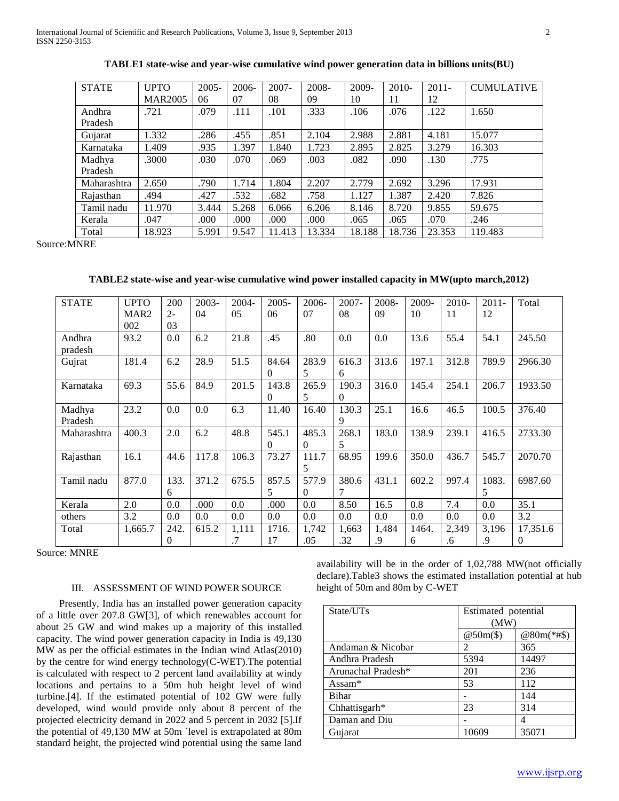| <b>STATE</b> | <b>UPTO</b>    | $2005 -$ | $2006 -$ | $2007 -$ | 2008-  | $2009 -$ | $2010-$ | $2011 -$ | <b>CUMULATIVE</b> |
|--------------|----------------|----------|----------|----------|--------|----------|---------|----------|-------------------|
|              | <b>MAR2005</b> | 06       | 07       | 08       | 09     | 10       | 11      | 12       |                   |
| Andhra       | .721           | .079     | .111     | .101     | .333   | .106     | .076    | .122     | 1.650             |
| Pradesh      |                |          |          |          |        |          |         |          |                   |
| Gujarat      | 1.332          | .286     | .455     | .851     | 2.104  | 2.988    | 2.881   | 4.181    | 15.077            |
| Karnataka    | 1.409          | .935     | 1.397    | 1.840    | 1.723  | 2.895    | 2.825   | 3.279    | 16.303            |
| Madhya       | .3000          | .030     | .070     | .069     | .003   | .082     | .090    | .130     | .775              |
| Pradesh      |                |          |          |          |        |          |         |          |                   |
| Maharashtra  | 2.650          | .790     | 1.714    | 1.804    | 2.207  | 2.779    | 2.692   | 3.296    | 17.931            |
| Rajasthan    | .494           | .427     | .532     | .682     | .758   | 1.127    | 1.387   | 2.420    | 7.826             |
| Tamil nadu   | 11.970         | 3.444    | 5.268    | 6.066    | 6.206  | 8.146    | 8.720   | 9.855    | 59.675            |
| Kerala       | .047           | .000     | .000     | .000     | .000   | .065     | .065    | .070     | .246              |
| Total        | 18.923         | 5.991    | 9.547    | 11.413   | 13.334 | 18.188   | 18.736  | 23.353   | 119.483           |

**TABLE1 state-wise and year-wise cumulative wind power generation data in billions units(BU)**

Source:MNRE

**TABLE2 state-wise and year-wise cumulative wind power installed capacity in MW(upto march,2012)**

| <b>STATE</b> | <b>UPTO</b>      | 200   | 2003- | $2004 -$  | $2005 -$ | $2006-$  | $2007 -$ | $2008 -$ | 2009- | $2010-$ | $2011 -$ | Total    |
|--------------|------------------|-------|-------|-----------|----------|----------|----------|----------|-------|---------|----------|----------|
|              | MAR <sub>2</sub> | $2 -$ | 04    | 05        | 06       | 07       | 08       | 09       | 10    | 11      | 12       |          |
|              | 002              | 03    |       |           |          |          |          |          |       |         |          |          |
| Andhra       | 93.2             | 0.0   | 6.2   | 21.8      | .45      | .80      | 0.0      | 0.0      | 13.6  | 55.4    | 54.1     | 245.50   |
|              |                  |       |       |           |          |          |          |          |       |         |          |          |
| pradesh      |                  |       |       |           |          |          |          |          |       |         |          |          |
| Gujrat       | 181.4            | 6.2   | 28.9  | 51.5      | 84.64    | 283.9    | 616.3    | 313.6    | 197.1 | 312.8   | 789.9    | 2966.30  |
|              |                  |       |       |           | $\theta$ | 5        | 6        |          |       |         |          |          |
|              |                  |       |       |           |          |          |          |          |       |         |          |          |
| Karnataka    | 69.3             | 55.6  | 84.9  | 201.5     | 143.8    | 265.9    | 190.3    | 316.0    | 145.4 | 254.1   | 206.7    | 1933.50  |
|              |                  |       |       |           | $\Omega$ | 5        | $\theta$ |          |       |         |          |          |
| Madhya       | 23.2             | 0.0   | 0.0   | 6.3       | 11.40    | 16.40    | 130.3    | 25.1     | 16.6  | 46.5    | 100.5    | 376.40   |
| Pradesh      |                  |       |       |           |          |          | 9        |          |       |         |          |          |
|              |                  |       |       |           |          |          |          |          |       |         |          |          |
| Maharashtra  | 400.3            | 2.0   | 6.2   | 48.8      | 545.1    | 485.3    | 268.1    | 183.0    | 138.9 | 239.1   | 416.5    | 2733.30  |
|              |                  |       |       |           | $\Omega$ | $\Omega$ | 5        |          |       |         |          |          |
| Rajasthan    | 16.1             | 44.6  | 117.8 | 106.3     | 73.27    | 111.7    | 68.95    | 199.6    | 350.0 | 436.7   | 545.7    | 2070.70  |
|              |                  |       |       |           |          | 5        |          |          |       |         |          |          |
|              |                  |       |       |           |          |          |          |          |       |         |          |          |
| Tamil nadu   | 877.0            | 133.  | 371.2 | 675.5     | 857.5    | 577.9    | 380.6    | 431.1    | 602.2 | 997.4   | 1083.    | 6987.60  |
|              |                  | 6     |       |           | 5.       | $\Omega$ | 7        |          |       |         | 5        |          |
| Kerala       | 2.0              | 0.0   | .000  | 0.0       | .000     | 0.0      | 8.50     | 16.5     | 0.8   | 7.4     | 0.0      | 35.1     |
| others       | 3.2              | 0.0   | 0.0   | 0.0       | 0.0      | 0.0      | 0.0      | 0.0      | 0.0   | 0.0     | 0.0      | 3.2      |
| Total        | 1,665.7          | 242.  | 615.2 | 1,111     | 1716.    | 1,742    | 1,663    | 1,484    | 1464. | 2,349   | 3,196    | 17,351.6 |
|              |                  | 0     |       | $\cdot$ 7 | 17       | .05      | .32      | .9       | 6     | .6      | .9       | $\Omega$ |

Source: MNRE

#### III. ASSESSMENT OF WIND POWER SOURCE

 Presently, India has an installed power generation capacity of a little over 207.8 GW[3], of which renewables account for about 25 GW and wind makes up a majority of this installed capacity. The wind power generation capacity in India is 49,130 MW as per the official estimates in the Indian wind Atlas(2010) by the centre for wind energy technology(C-WET).The potential is calculated with respect to 2 percent land availability at windy locations and pertains to a 50m hub height level of wind turbine.[4]. If the estimated potential of 102 GW were fully developed, wind would provide only about 8 percent of the projected electricity demand in 2022 and 5 percent in 2032 [5].If the potential of 49,130 MW at 50m `level is extrapolated at 80m standard height, the projected wind potential using the same land

availability will be in the order of 1,02,788 MW(not officially declare).Table3 shows the estimated installation potential at hub height of 50m and 80m by C-WET

| State/UTs                      | Estimated potential    |            |  |  |  |
|--------------------------------|------------------------|------------|--|--|--|
|                                | (MW)                   |            |  |  |  |
|                                | $@50m(\text{$\circ$})$ | @80m(*#\$) |  |  |  |
| Andaman & Nicobar              | 2                      | 365        |  |  |  |
| Andhra Pradesh                 | 5394                   | 14497      |  |  |  |
| Arunachal Pradesh <sup>*</sup> | 201                    | 236        |  |  |  |
| Assam $*$                      | 53                     | 112        |  |  |  |
| <b>Bihar</b>                   |                        | 144        |  |  |  |
| Chhattisgarh*                  | 23                     | 314        |  |  |  |
| Daman and Diu                  |                        |            |  |  |  |
| Gujarat                        | 10609                  | 35071      |  |  |  |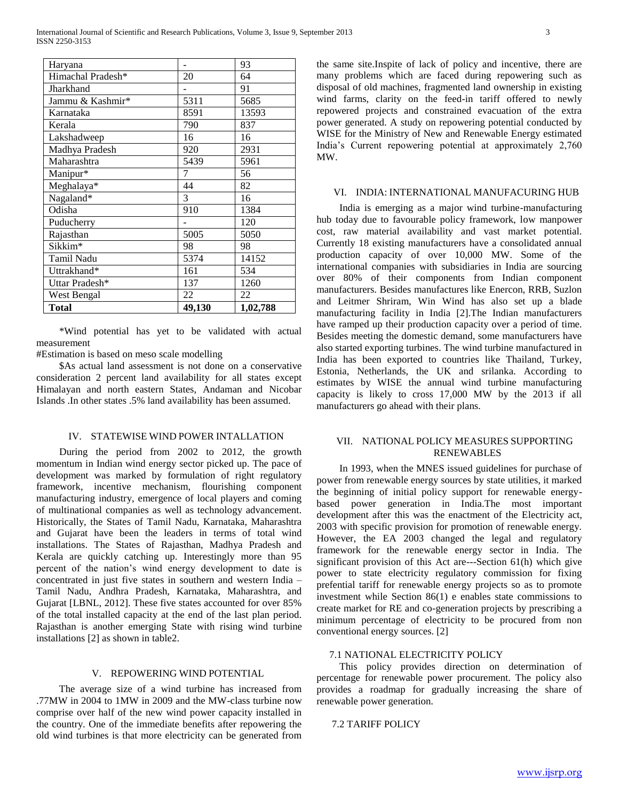| Haryana           |        | 93       |  |  |
|-------------------|--------|----------|--|--|
| Himachal Pradesh* | 20     | 64       |  |  |
| Jharkhand         |        | 91       |  |  |
| Jammu & Kashmir*  | 5311   | 5685     |  |  |
| Karnataka         | 8591   | 13593    |  |  |
| Kerala            | 790    | 837      |  |  |
| Lakshadweep       | 16     | 16       |  |  |
| Madhya Pradesh    | 920    | 2931     |  |  |
| Maharashtra       | 5439   | 5961     |  |  |
| Manipur*          | 7      | 56       |  |  |
| Meghalaya*        | 44     | 82       |  |  |
| Nagaland*         | 3      | 16       |  |  |
| Odisha            | 910    | 1384     |  |  |
| Puducherry        |        | 120      |  |  |
| Rajasthan         | 5005   | 5050     |  |  |
| Sikkim*           | 98     | 98       |  |  |
| Tamil Nadu        | 5374   | 14152    |  |  |
| Uttrakhand*       | 161    | 534      |  |  |
| Uttar Pradesh*    | 137    | 1260     |  |  |
| West Bengal       | 22     | 22       |  |  |
| Total             | 49,130 | 1,02,788 |  |  |

 \*Wind potential has yet to be validated with actual measurement

#Estimation is based on meso scale modelling

 \$As actual land assessment is not done on a conservative consideration 2 percent land availability for all states except Himalayan and north eastern States, Andaman and Nicobar Islands .In other states .5% land availability has been assumed.

# IV. STATEWISE WIND POWER INTALLATION

 During the period from 2002 to 2012, the growth momentum in Indian wind energy sector picked up. The pace of development was marked by formulation of right regulatory framework, incentive mechanism, flourishing component manufacturing industry, emergence of local players and coming of multinational companies as well as technology advancement. Historically, the States of Tamil Nadu, Karnataka, Maharashtra and Gujarat have been the leaders in terms of total wind installations. The States of Rajasthan, Madhya Pradesh and Kerala are quickly catching up. Interestingly more than 95 percent of the nation's wind energy development to date is concentrated in just five states in southern and western India – Tamil Nadu, Andhra Pradesh, Karnataka, Maharashtra, and Gujarat [LBNL, 2012]. These five states accounted for over 85% of the total installed capacity at the end of the last plan period. Rajasthan is another emerging State with rising wind turbine installations [2] as shown in table2.

## V. REPOWERING WIND POTENTIAL

 The average size of a wind turbine has increased from .77MW in 2004 to 1MW in 2009 and the MW-class turbine now comprise over half of the new wind power capacity installed in the country. One of the immediate benefits after repowering the old wind turbines is that more electricity can be generated from the same site.Inspite of lack of policy and incentive, there are many problems which are faced during repowering such as disposal of old machines, fragmented land ownership in existing wind farms, clarity on the feed-in tariff offered to newly repowered projects and constrained evacuation of the extra power generated. A study on repowering potential conducted by WISE for the Ministry of New and Renewable Energy estimated India's Current repowering potential at approximately 2,760 MW.

#### VI. INDIA: INTERNATIONAL MANUFACURING HUB

 India is emerging as a major wind turbine-manufacturing hub today due to favourable policy framework, low manpower cost, raw material availability and vast market potential. Currently 18 existing manufacturers have a consolidated annual production capacity of over 10,000 MW. Some of the international companies with subsidiaries in India are sourcing over 80% of their components from Indian component manufacturers. Besides manufactures like Enercon, RRB, Suzlon and Leitmer Shriram, Win Wind has also set up a blade manufacturing facility in India [2].The Indian manufacturers have ramped up their production capacity over a period of time. Besides meeting the domestic demand, some manufacturers have also started exporting turbines. The wind turbine manufactured in India has been exported to countries like Thailand, Turkey, Estonia, Netherlands, the UK and srilanka. According to estimates by WISE the annual wind turbine manufacturing capacity is likely to cross 17,000 MW by the 2013 if all manufacturers go ahead with their plans.

## VII. NATIONAL POLICY MEASURES SUPPORTING RENEWABLES

 In 1993, when the MNES issued guidelines for purchase of power from renewable energy sources by state utilities, it marked the beginning of initial policy support for renewable energybased power generation in India.The most important development after this was the enactment of the Electricity act, 2003 with specific provision for promotion of renewable energy. However, the EA 2003 changed the legal and regulatory framework for the renewable energy sector in India. The significant provision of this Act are---Section 61(h) which give power to state electricity regulatory commission for fixing prefential tariff for renewable energy projects so as to promote investment while Section 86(1) e enables state commissions to create market for RE and co-generation projects by prescribing a minimum percentage of electricity to be procured from non conventional energy sources. [2]

#### 7.1 NATIONAL ELECTRICITY POLICY

 This policy provides direction on determination of percentage for renewable power procurement. The policy also provides a roadmap for gradually increasing the share of renewable power generation.

# 7.2 TARIFF POLICY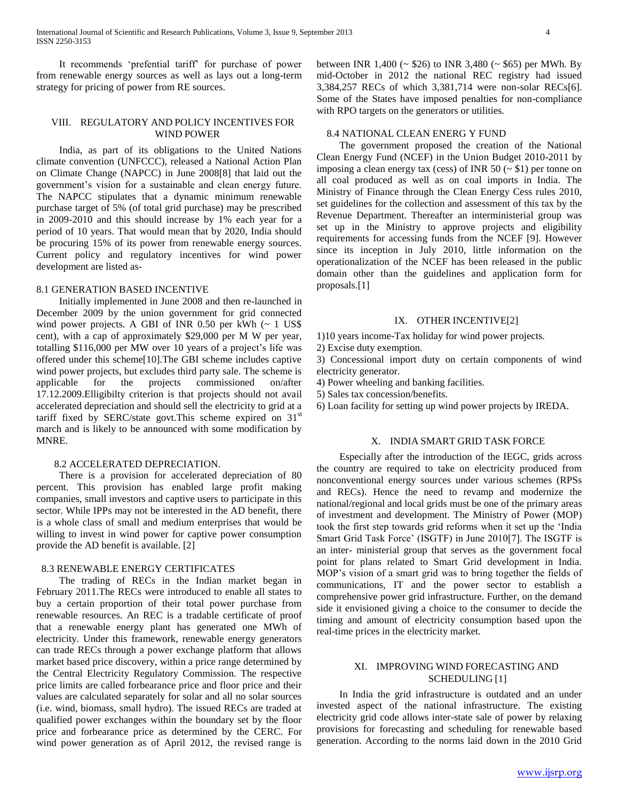International Journal of Scientific and Research Publications, Volume 3, Issue 9, September 2013 4 ISSN 2250-3153

 It recommends 'prefential tariff' for purchase of power from renewable energy sources as well as lays out a long-term strategy for pricing of power from RE sources.

#### VIII. REGULATORY AND POLICY INCENTIVES FOR WIND POWER

 India, as part of its obligations to the United Nations climate convention (UNFCCC), released a National Action Plan on Climate Change (NAPCC) in June 2008[8] that laid out the government's vision for a sustainable and clean energy future. The NAPCC stipulates that a dynamic minimum renewable purchase target of 5% (of total grid purchase) may be prescribed in 2009-2010 and this should increase by 1% each year for a period of 10 years. That would mean that by 2020, India should be procuring 15% of its power from renewable energy sources. Current policy and regulatory incentives for wind power development are listed as-

## 8.1 GENERATION BASED INCENTIVE

 Initially implemented in June 2008 and then re-launched in December 2009 by the union government for grid connected wind power projects. A GBI of INR 0.50 per kWh  $\sim 1$  US\$ cent), with a cap of approximately \$29,000 per M W per year, totalling \$116,000 per MW over 10 years of a project's life was offered under this scheme[10].The GBI scheme includes captive wind power projects, but excludes third party sale. The scheme is applicable for the projects commissioned on/after 17.12.2009.Elligibilty criterion is that projects should not avail accelerated depreciation and should sell the electricity to grid at a tariff fixed by SERC/state govt. This scheme expired on  $31<sup>st</sup>$ march and is likely to be announced with some modification by MNRE.

#### 8.2 ACCELERATED DEPRECIATION.

 There is a provision for accelerated depreciation of 80 percent. This provision has enabled large profit making companies, small investors and captive users to participate in this sector. While IPPs may not be interested in the AD benefit, there is a whole class of small and medium enterprises that would be willing to invest in wind power for captive power consumption provide the AD benefit is available. [2]

## 8.3 RENEWABLE ENERGY CERTIFICATES

 The trading of RECs in the Indian market began in February 2011.The RECs were introduced to enable all states to buy a certain proportion of their total power purchase from renewable resources. An REC is a tradable certificate of proof that a renewable energy plant has generated one MWh of electricity. Under this framework, renewable energy generators can trade RECs through a power exchange platform that allows market based price discovery, within a price range determined by the Central Electricity Regulatory Commission. The respective price limits are called forbearance price and floor price and their values are calculated separately for solar and all no solar sources (i.e. wind, biomass, small hydro). The issued RECs are traded at qualified power exchanges within the boundary set by the floor price and forbearance price as determined by the CERC. For wind power generation as of April 2012, the revised range is

## 8.4 NATIONAL CLEAN ENERG Y FUND

 The government proposed the creation of the National Clean Energy Fund (NCEF) in the Union Budget 2010-2011 by imposing a clean energy tax (cess) of INR 50 ( $\sim$  \$1) per tonne on all coal produced as well as on coal imports in India. The Ministry of Finance through the Clean Energy Cess rules 2010, set guidelines for the collection and assessment of this tax by the Revenue Department. Thereafter an interministerial group was set up in the Ministry to approve projects and eligibility requirements for accessing funds from the NCEF [9]. However since its inception in July 2010, little information on the operationalization of the NCEF has been released in the public domain other than the guidelines and application form for proposals.[1]

## IX. OTHER INCENTIVE[2]

1)10 years income-Tax holiday for wind power projects.

2) Excise duty exemption.

3) Concessional import duty on certain components of wind electricity generator.

- 4) Power wheeling and banking facilities.
- 5) Sales tax concession/benefits.
- 6) Loan facility for setting up wind power projects by IREDA.

#### X. INDIA SMART GRID TASK FORCE

 Especially after the introduction of the IEGC, grids across the country are required to take on electricity produced from nonconventional energy sources under various schemes (RPSs and RECs). Hence the need to revamp and modernize the national/regional and local grids must be one of the primary areas of investment and development. The Ministry of Power (MOP) took the first step towards grid reforms when it set up the 'India Smart Grid Task Force' (ISGTF) in June 2010[7]. The ISGTF is an inter- ministerial group that serves as the government focal point for plans related to Smart Grid development in India. MOP's vision of a smart grid was to bring together the fields of communications, IT and the power sector to establish a comprehensive power grid infrastructure. Further, on the demand side it envisioned giving a choice to the consumer to decide the timing and amount of electricity consumption based upon the real-time prices in the electricity market.

## XI. IMPROVING WIND FORECASTING AND SCHEDULING [1]

 In India the grid infrastructure is outdated and an under invested aspect of the national infrastructure. The existing electricity grid code allows inter-state sale of power by relaxing provisions for forecasting and scheduling for renewable based generation. According to the norms laid down in the 2010 Grid